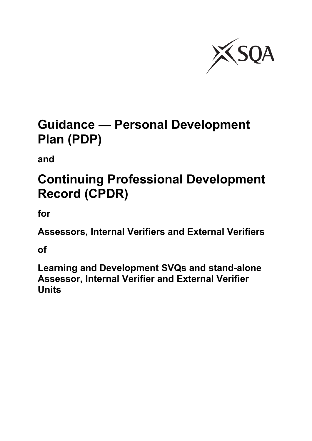

# **Guidance — Personal Development Plan (PDP)**

**and**

# **Continuing Professional Development Record (CPDR)**

**for**

**Assessors, Internal Verifiers and External Verifiers**

**of**

**Learning and Development SVQs and stand-alone Assessor, Internal Verifier and External Verifier Units**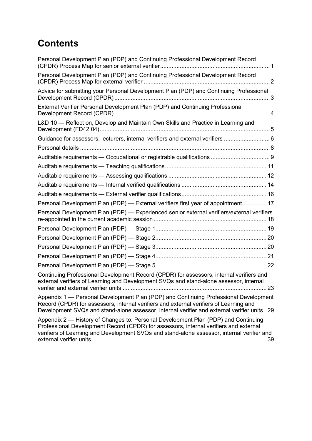# **Contents**

| Personal Development Plan (PDP) and Continuing Professional Development Record                                                                                                                                                                                                |
|-------------------------------------------------------------------------------------------------------------------------------------------------------------------------------------------------------------------------------------------------------------------------------|
| Personal Development Plan (PDP) and Continuing Professional Development Record                                                                                                                                                                                                |
| Advice for submitting your Personal Development Plan (PDP) and Continuing Professional                                                                                                                                                                                        |
| External Verifier Personal Development Plan (PDP) and Continuing Professional                                                                                                                                                                                                 |
| L&D 10 - Reflect on, Develop and Maintain Own Skills and Practice in Learning and                                                                                                                                                                                             |
| Guidance for assessors, lecturers, internal verifiers and external verifiers  6                                                                                                                                                                                               |
|                                                                                                                                                                                                                                                                               |
|                                                                                                                                                                                                                                                                               |
|                                                                                                                                                                                                                                                                               |
|                                                                                                                                                                                                                                                                               |
|                                                                                                                                                                                                                                                                               |
|                                                                                                                                                                                                                                                                               |
| Personal Development Plan (PDP) - External verifiers first year of appointment 17                                                                                                                                                                                             |
| Personal Development Plan (PDP) — Experienced senior external verifiers/external verifiers                                                                                                                                                                                    |
|                                                                                                                                                                                                                                                                               |
|                                                                                                                                                                                                                                                                               |
|                                                                                                                                                                                                                                                                               |
|                                                                                                                                                                                                                                                                               |
|                                                                                                                                                                                                                                                                               |
| Continuing Professional Development Record (CPDR) for assessors, internal verifiers and<br>external verifiers of Learning and Development SVQs and stand-alone assessor, internal                                                                                             |
| Appendix 1 - Personal Development Plan (PDP) and Continuing Professional Development<br>Record (CPDR) for assessors, internal verifiers and external verifiers of Learning and<br>Development SVQs and stand-alone assessor, internal verifier and external verifier units 29 |
| Appendix 2 — History of Changes to: Personal Development Plan (PDP) and Continuing<br>Professional Development Record (CPDR) for assessors, internal verifiers and external<br>verifiers of Learning and Development SVQs and stand-alone assessor, internal verifier and     |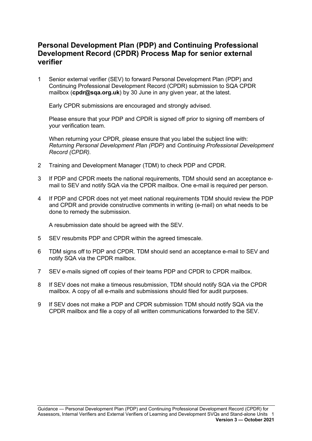### <span id="page-2-0"></span>**Personal Development Plan (PDP) and Continuing Professional Development Record (CPDR) Process Map for senior external verifier**

1 Senior external verifier (SEV) to forward Personal Development Plan (PDP) and Continuing Professional Development Record (CPDR) submission to SQA CPDR mailbox (**[cpdr@sqa.org.uk](mailto:cpdr@sqa.org.uk)**) by 30 June in any given year, at the latest.

Early CPDR submissions are encouraged and strongly advised.

Please ensure that your PDP and CPDR is signed off prior to signing off members of your verification team.

When returning your CPDR, please ensure that you label the subject line with: *Returning Personal Development Plan (PDP)* and *Continuing Professional Development Record (CPDR).*

- 2 Training and Development Manager (TDM) to check PDP and CPDR.
- 3 If PDP and CPDR meets the national requirements, TDM should send an acceptance email to SEV and notify SQA via the CPDR mailbox. One e-mail is required per person.
- 4 If PDP and CPDR does not yet meet national requirements TDM should review the PDP and CPDR and provide constructive comments in writing (e-mail) on what needs to be done to remedy the submission.

A resubmission date should be agreed with the SEV.

- 5 SEV resubmits PDP and CPDR within the agreed timescale.
- 6 TDM signs off to PDP and CPDR. TDM should send an acceptance e-mail to SEV and notify SQA via the CPDR mailbox.
- 7 SEV e-mails signed off copies of their teams PDP and CPDR to CPDR mailbox.
- 8 If SEV does not make a timeous resubmission, TDM should notify SQA via the CPDR mailbox. A copy of all e-mails and submissions should filed for audit purposes.
- 9 If SEV does not make a PDP and CPDR submission TDM should notify SQA via the CPDR mailbox and file a copy of all written communications forwarded to the SEV.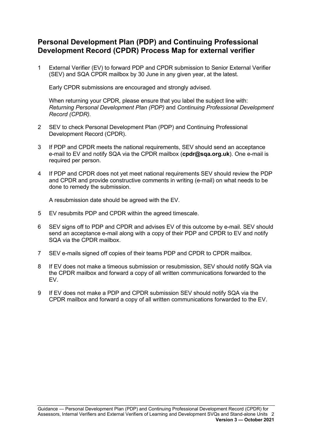### <span id="page-3-0"></span>**Personal Development Plan (PDP) and Continuing Professional Development Record (CPDR) Process Map for external verifier**

1 External Verifier (EV) to forward PDP and CPDR submission to Senior External Verifier (SEV) and SQA CPDR mailbox by 30 June in any given year, at the latest.

Early CPDR submissions are encouraged and strongly advised.

When returning your CPDR, please ensure that you label the subject line with: *Returning Personal Development Plan (PDP)* and *Continuing Professional Development Record (CPDR).*

- 2 SEV to check Personal Development Plan (PDP) and Continuing Professional Development Record (CPDR).
- 3 If PDP and CPDR meets the national requirements, SEV should send an acceptance e-mail to EV and notify SQA via the CPDR mailbox (**[cpdr@sqa.org.uk](mailto:cpdr@sqa.org.uk)**). One e-mail is required per person.
- 4 If PDP and CPDR does not yet meet national requirements SEV should review the PDP and CPDR and provide constructive comments in writing (e-mail) on what needs to be done to remedy the submission.

A resubmission date should be agreed with the EV.

- 5 EV resubmits PDP and CPDR within the agreed timescale.
- 6 SEV signs off to PDP and CPDR and advises EV of this outcome by e-mail. SEV should send an acceptance e-mail along with a copy of their PDP and CPDR to EV and notify SQA via the CPDR mailbox.
- 7 SEV e-mails signed off copies of their teams PDP and CPDR to CPDR mailbox.
- 8 If EV does not make a timeous submission or resubmission, SEV should notify SQA via the CPDR mailbox and forward a copy of all written communications forwarded to the EV.
- 9 If EV does not make a PDP and CPDR submission SEV should notify SQA via the CPDR mailbox and forward a copy of all written communications forwarded to the EV.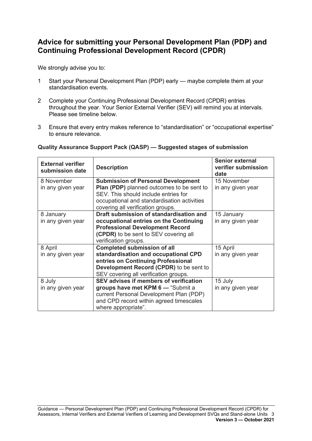### <span id="page-4-0"></span>**Advice for submitting your Personal Development Plan (PDP) and Continuing Professional Development Record (CPDR)**

We strongly advise you to:

- 1 Start your Personal Development Plan (PDP) early maybe complete them at your standardisation events.
- 2 Complete your Continuing Professional Development Record (CPDR) entries throughout the year. Your Senior External Verifier (SEV) will remind you at intervals. Please see timeline below.
- 3 Ensure that every entry makes reference to "standardisation" or "occupational expertise" to ensure relevance.

### **Quality Assurance Support Pack (QASP) — Suggested stages of submission**

| <b>External verifier</b><br>submission date | <b>Description</b>                               | <b>Senior external</b><br>verifier submission<br>date |
|---------------------------------------------|--------------------------------------------------|-------------------------------------------------------|
| 8 November                                  | <b>Submission of Personal Development</b>        | 15 November                                           |
| in any given year                           | <b>Plan (PDP)</b> planned outcomes to be sent to | in any given year                                     |
|                                             | SEV. This should include entries for             |                                                       |
|                                             | occupational and standardisation activities      |                                                       |
|                                             | covering all verification groups.                |                                                       |
| 8 January                                   | Draft submission of standardisation and          | 15 January                                            |
| in any given year                           | occupational entries on the Continuing           | in any given year                                     |
|                                             | <b>Professional Development Record</b>           |                                                       |
|                                             | (CPDR) to be sent to SEV covering all            |                                                       |
|                                             | verification groups.                             |                                                       |
| 8 April                                     | <b>Completed submission of all</b>               | 15 April                                              |
| in any given year                           | standardisation and occupational CPD             | in any given year                                     |
|                                             | entries on Continuing Professional               |                                                       |
|                                             | Development Record (CPDR) to be sent to          |                                                       |
|                                             | SEV covering all verification groups.            |                                                       |
| 8 July                                      | SEV advises if members of verification           | 15 July                                               |
| in any given year                           | groups have met KPM 6 - "Submit a                | in any given year                                     |
|                                             | current Personal Development Plan (PDP)          |                                                       |
|                                             | and CPD record within agreed timescales          |                                                       |
|                                             | where appropriate".                              |                                                       |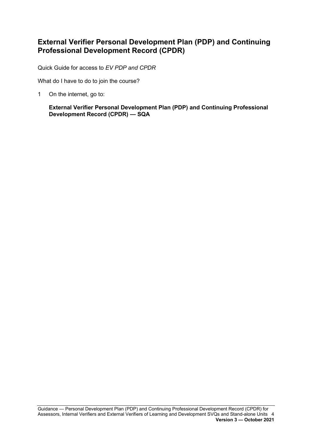### <span id="page-5-0"></span>**External Verifier Personal Development Plan (PDP) and Continuing Professional Development Record (CPDR)**

Quick Guide for access to *EV PDP and CPDR*

What do I have to do to join the course?

1 On the internet, go to:

**External Verifier Personal [Development](https://www.sqa.org.uk/sqa/92059.html) Plan (PDP) and Continuing Professional [Development](https://www.sqa.org.uk/sqa/92059.html) Record (CPDR) — SQA**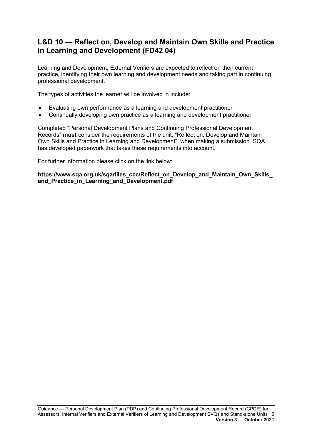### <span id="page-6-0"></span>**L&D 10 — Reflect on, Develop and Maintain Own Skills and Practice in Learning and Development (FD42 04)**

Learning and Development, External Verifiers are expected to reflect on their current practice, identifying their own learning and development needs and taking part in continuing professional development.

The types of activities the learner will be involved in include:

- $\bullet$  Evaluating own performance as a learning and development practitioner
- ♦ Continually developing own practice as a learning and development practitioner

Completed "Personal Development Plans and Continuing Professional Development Records" **must** consider the requirements of the unit, "Reflect on, Develop and Maintain Own Skills and Practice in Learning and Development", when making a submission. SQA has developed paperwork that takes these requirements into account.

For further information please click on the link below:

**[https://www.sqa.org.uk/sqa/files\\_ccc/Reflect\\_on\\_Develop\\_and\\_Maintain\\_Own\\_Skills\\_](https://www.sqa.org.uk/sqa/files_ccc/Reflect_on_Develop_and_Maintain_Own_Skills_and_Practice_in_Learning_and_Development.pdf) [and\\_Practice\\_in\\_Learning\\_and\\_Development.pdf](https://www.sqa.org.uk/sqa/files_ccc/Reflect_on_Develop_and_Maintain_Own_Skills_and_Practice_in_Learning_and_Development.pdf)**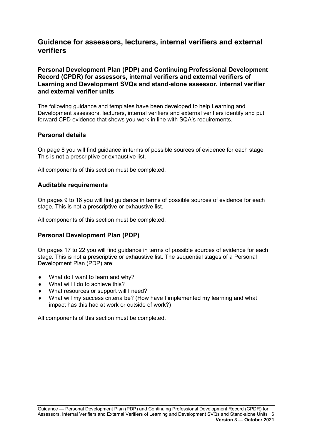### <span id="page-7-0"></span>**Guidance for assessors, lecturers, internal verifiers and external verifiers**

**Personal Development Plan (PDP) and Continuing Professional Development Record (CPDR) for assessors, internal verifiers and external verifiers of Learning and Development SVQs and stand-alone assessor, internal verifier and external verifier units**

The following guidance and templates have been developed to help Learning and Development assessors, lecturers, internal verifiers and external verifiers identify and put forward CPD evidence that shows you work in line with SQA's requirements.

### **Personal details**

On page 8 you will find guidance in terms of possible sources of evidence for each stage. This is not a prescriptive or exhaustive list.

All components of this section must be completed.

#### **Auditable requirements**

On pages 9 to 16 you will find guidance in terms of possible sources of evidence for each stage. This is not a prescriptive or exhaustive list.

All components of this section must be completed.

#### **Personal Development Plan (PDP)**

On pages 17 to 22 you will find guidance in terms of possible sources of evidence for each stage. This is not a prescriptive or exhaustive list. The sequential stages of a Personal Development Plan (PDP) are:

- $\blacklozenge$  What do I want to learn and why?
- What will I do to achieve this?
- What resources or support will I need?
- What will my success criteria be? (How have I implemented my learning and what impact has this had at work or outside of work?)

All components of this section must be completed.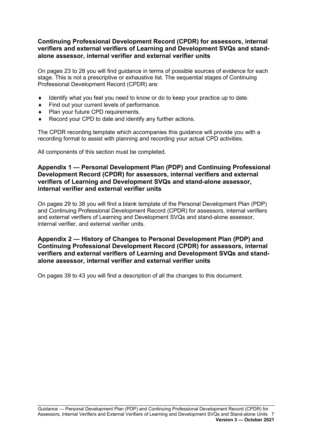### **Continuing Professional Development Record (CPDR) for assessors, internal verifiers and external verifiers of Learning and Development SVQs and standalone assessor, internal verifier and external verifier units**

On pages 23 to 28 you will find guidance in terms of possible sources of evidence for each stage. This is not a prescriptive or exhaustive list. The sequential stages of Continuing Professional Development Record (CPDR) are:

- ♦ Identify what you feel you need to know or do to keep your practice up to date.
- Find out your current levels of performance.
- Plan your future CPD requirements.
- Record your CPD to date and identify any further actions.

The CPDR recording template which accompanies this guidance will provide you with a recording format to assist with planning and recording your actual CPD activities.

All components of this section must be completed.

### **Appendix 1 — Personal Development Plan (PDP) and Continuing Professional Development Record (CPDR) for assessors, internal verifiers and external verifiers of Learning and Development SVQs and stand-alone assessor, internal verifier and external verifier units**

On pages 29 to 38 you will find a blank template of the Personal Development Plan (PDP) and Continuing Professional Development Record (CPDR) for assessors, internal verifiers and external verifiers of Learning and Development SVQs and stand-alone assessor, internal verifier, and external verifier units.

### **Appendix 2 — History of Changes to Personal Development Plan (PDP) and Continuing Professional Development Record (CPDR) for assessors, internal verifiers and external verifiers of Learning and Development SVQs and standalone assessor, internal verifier and external verifier units**

On pages 39 to 43 you will find a description of all the changes to this document.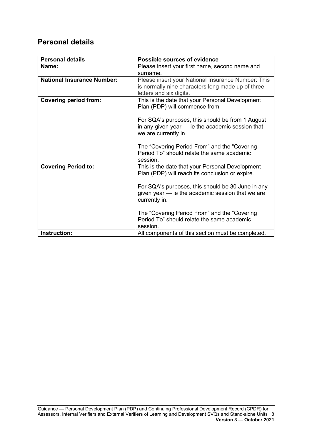### <span id="page-9-0"></span>**Personal details**

| <b>Personal details</b>           | <b>Possible sources of evidence</b>                                                                                                |
|-----------------------------------|------------------------------------------------------------------------------------------------------------------------------------|
| Name:                             | Please insert your first name, second name and<br>surname.                                                                         |
| <b>National Insurance Number:</b> | Please insert your National Insurance Number: This<br>is normally nine characters long made up of three<br>letters and six digits. |
| <b>Covering period from:</b>      | This is the date that your Personal Development<br>Plan (PDP) will commence from.                                                  |
|                                   | For SQA's purposes, this should be from 1 August<br>in any given year - ie the academic session that<br>we are currently in.       |
|                                   | The "Covering Period From" and the "Covering<br>Period To" should relate the same academic<br>session.                             |
| <b>Covering Period to:</b>        | This is the date that your Personal Development<br>Plan (PDP) will reach its conclusion or expire.                                 |
|                                   | For SQA's purposes, this should be 30 June in any<br>given year - ie the academic session that we are<br>currently in.             |
|                                   | The "Covering Period From" and the "Covering<br>Period To" should relate the same academic<br>session.                             |
| Instruction:                      | All components of this section must be completed.                                                                                  |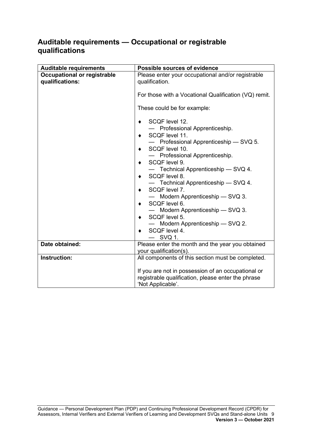### <span id="page-10-0"></span>**Auditable requirements — Occupational or registrable qualifications**

| <b>Auditable requirements</b>                         | Possible sources of evidence                                                                                                                                                                                                                                                                                                                                                                                                   |  |
|-------------------------------------------------------|--------------------------------------------------------------------------------------------------------------------------------------------------------------------------------------------------------------------------------------------------------------------------------------------------------------------------------------------------------------------------------------------------------------------------------|--|
| <b>Occupational or registrable</b><br>qualifications: | Please enter your occupational and/or registrable<br>qualification.                                                                                                                                                                                                                                                                                                                                                            |  |
|                                                       | For those with a Vocational Qualification (VQ) remit.                                                                                                                                                                                                                                                                                                                                                                          |  |
|                                                       | These could be for example:                                                                                                                                                                                                                                                                                                                                                                                                    |  |
|                                                       | SCQF level 12.<br>٠<br>- Professional Apprenticeship.<br>SCQF level 11.<br>٠<br>- Professional Apprenticeship - SVQ 5.<br>SCQF level 10.<br>٠<br>- Professional Apprenticeship.<br>SCQF level 9.<br>٠<br>- Technical Apprenticeship - SVQ 4.<br>SCQF level 8.<br>٠<br>- Technical Apprenticeship - SVQ 4.<br>SCQF level 7.<br>Modern Apprenticeship - SVQ 3.<br>SCQF level 6.<br>$\bullet$<br>— Modern Apprenticeship — SVQ 3. |  |
|                                                       | SCQF level 5.<br>Modern Apprenticeship - SVQ 2.<br>SCQF level 4.<br>٠                                                                                                                                                                                                                                                                                                                                                          |  |
|                                                       | $-$ SVQ 1.                                                                                                                                                                                                                                                                                                                                                                                                                     |  |
| Date obtained:                                        | Please enter the month and the year you obtained<br>your qualification(s).                                                                                                                                                                                                                                                                                                                                                     |  |
| Instruction:                                          | All components of this section must be completed.                                                                                                                                                                                                                                                                                                                                                                              |  |
|                                                       | If you are not in possession of an occupational or<br>registrable qualification, please enter the phrase<br>'Not Applicable'.                                                                                                                                                                                                                                                                                                  |  |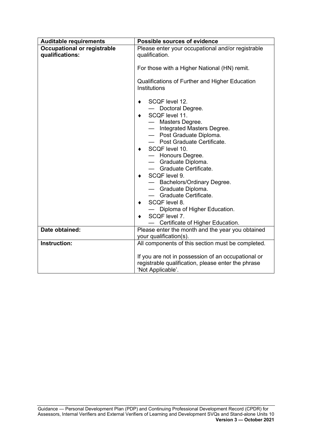| <b>Auditable requirements</b>                         | <b>Possible sources of evidence</b>                                                                                                                                                                                                                                                                                                                                                                                                                          |  |
|-------------------------------------------------------|--------------------------------------------------------------------------------------------------------------------------------------------------------------------------------------------------------------------------------------------------------------------------------------------------------------------------------------------------------------------------------------------------------------------------------------------------------------|--|
| <b>Occupational or registrable</b><br>qualifications: | Please enter your occupational and/or registrable<br>qualification.                                                                                                                                                                                                                                                                                                                                                                                          |  |
|                                                       | For those with a Higher National (HN) remit.                                                                                                                                                                                                                                                                                                                                                                                                                 |  |
|                                                       | Qualifications of Further and Higher Education<br>Institutions                                                                                                                                                                                                                                                                                                                                                                                               |  |
|                                                       | SCQF level 12.<br>٠<br>Doctoral Degree.<br>SCQF level 11.<br>٠<br>— Masters Degree.<br>- Integrated Masters Degree.<br>- Post Graduate Diploma.<br>- Post Graduate Certificate.<br>SCQF level 10.<br>٠<br>- Honours Degree.<br>- Graduate Diploma.<br>- Graduate Certificate.<br>SCQF level 9.<br>٠<br>- Bachelors/Ordinary Degree.<br>- Graduate Diploma.<br>- Graduate Certificate.<br>SCQF level 8.<br>٠<br>Diploma of Higher Education.<br>SCQF level 7. |  |
| Date obtained:                                        | Certificate of Higher Education.<br>Please enter the month and the year you obtained<br>your qualification(s).                                                                                                                                                                                                                                                                                                                                               |  |
| Instruction:                                          | All components of this section must be completed.                                                                                                                                                                                                                                                                                                                                                                                                            |  |
|                                                       | If you are not in possession of an occupational or<br>registrable qualification, please enter the phrase<br>'Not Applicable'.                                                                                                                                                                                                                                                                                                                                |  |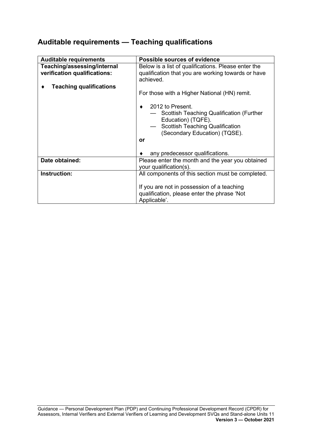# <span id="page-12-0"></span>**Auditable requirements — Teaching qualifications**

| <b>Auditable requirements</b>                                                                 | Possible sources of evidence                                                                                                                                                               |  |
|-----------------------------------------------------------------------------------------------|--------------------------------------------------------------------------------------------------------------------------------------------------------------------------------------------|--|
| Teaching/assessing/internal<br>verification qualifications:<br><b>Teaching qualifications</b> | Below is a list of qualifications. Please enter the<br>qualification that you are working towards or have<br>achieved.<br>For those with a Higher National (HN) remit.<br>2012 to Present. |  |
|                                                                                               | — Scottish Teaching Qualification (Further<br>Education) (TQFE).<br><b>Scottish Teaching Qualification</b><br>(Secondary Education) (TQSE).<br>or                                          |  |
| Date obtained:                                                                                | any predecessor qualifications.<br>Please enter the month and the year you obtained<br>your qualification(s).                                                                              |  |
| Instruction:                                                                                  | All components of this section must be completed.<br>If you are not in possession of a teaching<br>qualification, please enter the phrase 'Not<br>Applicable'.                             |  |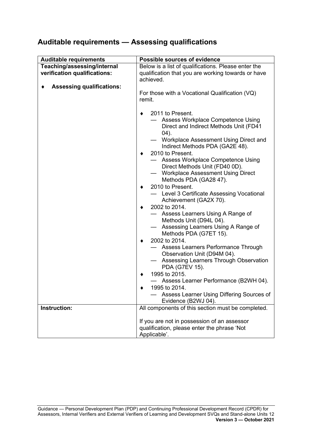# <span id="page-13-0"></span>**Auditable requirements — Assessing qualifications**

| <b>Auditable requirements</b>    | <b>Possible sources of evidence</b>                                                                                                                                                                                                                                                                                                                                                                                                                                                                                                                                                                                                                                                                                                                                                                                                                                                                          |  |
|----------------------------------|--------------------------------------------------------------------------------------------------------------------------------------------------------------------------------------------------------------------------------------------------------------------------------------------------------------------------------------------------------------------------------------------------------------------------------------------------------------------------------------------------------------------------------------------------------------------------------------------------------------------------------------------------------------------------------------------------------------------------------------------------------------------------------------------------------------------------------------------------------------------------------------------------------------|--|
| Teaching/assessing/internal      | Below is a list of qualifications. Please enter the                                                                                                                                                                                                                                                                                                                                                                                                                                                                                                                                                                                                                                                                                                                                                                                                                                                          |  |
| verification qualifications:     | qualification that you are working towards or have<br>achieved.                                                                                                                                                                                                                                                                                                                                                                                                                                                                                                                                                                                                                                                                                                                                                                                                                                              |  |
| <b>Assessing qualifications:</b> | For those with a Vocational Qualification (VQ)<br>remit.                                                                                                                                                                                                                                                                                                                                                                                                                                                                                                                                                                                                                                                                                                                                                                                                                                                     |  |
|                                  | 2011 to Present.<br>Assess Workplace Competence Using<br>Direct and Indirect Methods Unit (FD41<br>(04).<br>- Workplace Assessment Using Direct and<br>Indirect Methods PDA (GA2E 48).<br>2010 to Present.<br>- Assess Workplace Competence Using<br>Direct Methods Unit (FD40 0D).<br><b>Workplace Assessment Using Direct</b><br>Methods PDA (GA28 47).<br>2010 to Present.<br>Level 3 Certificate Assessing Vocational<br>Achievement (GA2X 70).<br>2002 to 2014.<br>Assess Learners Using A Range of<br>Methods Unit (D94L 04).<br>Assessing Learners Using A Range of<br>Methods PDA (G7ET 15).<br>2002 to 2014.<br>Assess Learners Performance Through<br>Observation Unit (D94M 04).<br><b>Assessing Learners Through Observation</b><br>PDA (G7EV 15).<br>1995 to 2015.<br>Assess Learner Performance (B2WH 04).<br>1995 to 2014<br>Assess Learner Using Differing Sources of<br>Evidence (B2WJ 04). |  |
| Instruction:                     | All components of this section must be completed.                                                                                                                                                                                                                                                                                                                                                                                                                                                                                                                                                                                                                                                                                                                                                                                                                                                            |  |
|                                  | If you are not in possession of an assessor<br>qualification, please enter the phrase 'Not<br>Applicable'.                                                                                                                                                                                                                                                                                                                                                                                                                                                                                                                                                                                                                                                                                                                                                                                                   |  |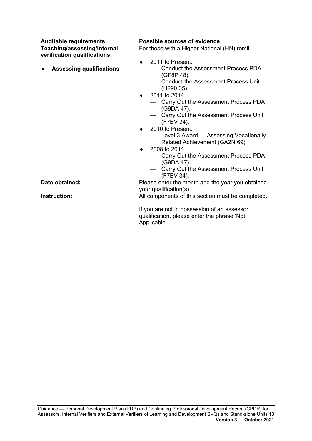| <b>Auditable requirements</b>                               | Possible sources of evidence                                                                                                                                                                                                                                                                                                                                                                                                                                                                                        |  |
|-------------------------------------------------------------|---------------------------------------------------------------------------------------------------------------------------------------------------------------------------------------------------------------------------------------------------------------------------------------------------------------------------------------------------------------------------------------------------------------------------------------------------------------------------------------------------------------------|--|
| Teaching/assessing/internal<br>verification qualifications: | For those with a Higher National (HN) remit.                                                                                                                                                                                                                                                                                                                                                                                                                                                                        |  |
| <b>Assessing qualifications</b>                             | 2011 to Present.<br><b>Conduct the Assessment Process PDA</b><br>(GF8P 48).<br><b>Conduct the Assessment Process Unit</b><br>(H <sub>290</sub> 35).<br>2011 to 2014.<br>- Carry Out the Assessment Process PDA<br>(G9DA 47).<br>Carry Out the Assessment Process Unit<br>(F7BV 34).<br>2010 to Present.<br>Level 3 Award - Assessing Vocationally<br>Related Achievement (GA2N 69).<br>2008 to 2014.<br>Carry Out the Assessment Process PDA<br>(G9DA 47).<br>- Carry Out the Assessment Process Unit<br>(F7BV 34). |  |
| Date obtained:                                              | Please enter the month and the year you obtained<br>your qualification(s).                                                                                                                                                                                                                                                                                                                                                                                                                                          |  |
| Instruction:                                                | All components of this section must be completed.<br>If you are not in possession of an assessor<br>qualification, please enter the phrase 'Not<br>Applicable'.                                                                                                                                                                                                                                                                                                                                                     |  |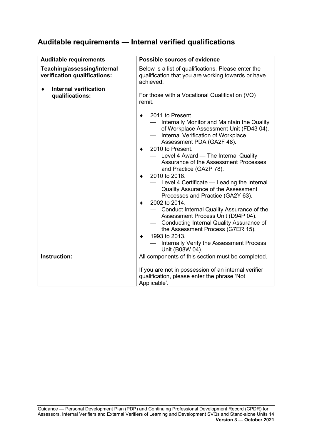### <span id="page-15-0"></span>**Auditable requirements — Internal verified qualifications**

| <b>Auditable requirements</b>                                                                                  | Possible sources of evidence                                                                                                                                                                                                                                                                                                                                                                                                                                                                                                                                                                                                                                                                                                               |  |
|----------------------------------------------------------------------------------------------------------------|--------------------------------------------------------------------------------------------------------------------------------------------------------------------------------------------------------------------------------------------------------------------------------------------------------------------------------------------------------------------------------------------------------------------------------------------------------------------------------------------------------------------------------------------------------------------------------------------------------------------------------------------------------------------------------------------------------------------------------------------|--|
| Teaching/assessing/internal<br>verification qualifications:<br><b>Internal verification</b><br>qualifications: | Below is a list of qualifications. Please enter the<br>qualification that you are working towards or have<br>achieved.<br>For those with a Vocational Qualification (VQ)<br>remit.                                                                                                                                                                                                                                                                                                                                                                                                                                                                                                                                                         |  |
|                                                                                                                | 2011 to Present.<br>- Internally Monitor and Maintain the Quality<br>of Workplace Assessment Unit (FD43 04).<br>Internal Verification of Workplace<br>Assessment PDA (GA2F 48).<br>2010 to Present.<br>- Level 4 Award - The Internal Quality<br>Assurance of the Assessment Processes<br>and Practice (GA2P 78).<br>2010 to 2018.<br>Level 4 Certificate - Leading the Internal<br><b>Quality Assurance of the Assessment</b><br>Processes and Practice (GA2Y 63).<br>2002 to 2014.<br>- Conduct Internal Quality Assurance of the<br>Assessment Process Unit (D94P 04).<br>Conducting Internal Quality Assurance of<br>the Assessment Process (G7ER 15).<br>1993 to 2013.<br>Internally Verify the Assessment Process<br>Unit (B08W 04). |  |
| Instruction:                                                                                                   | All components of this section must be completed.                                                                                                                                                                                                                                                                                                                                                                                                                                                                                                                                                                                                                                                                                          |  |
|                                                                                                                | If you are not in possession of an internal verifier<br>qualification, please enter the phrase 'Not<br>Applicable'.                                                                                                                                                                                                                                                                                                                                                                                                                                                                                                                                                                                                                        |  |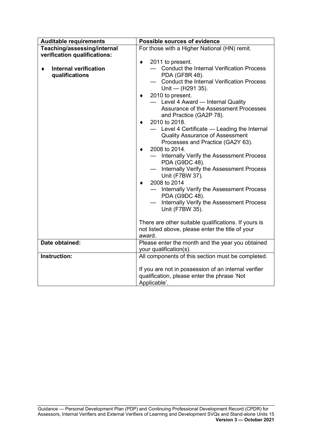| <b>Auditable requirements</b>                                                  | <b>Possible sources of evidence</b>                                                                                                                                                                                                                                                                                                                                                                                                                                                                                                                                                                                                                                              |  |
|--------------------------------------------------------------------------------|----------------------------------------------------------------------------------------------------------------------------------------------------------------------------------------------------------------------------------------------------------------------------------------------------------------------------------------------------------------------------------------------------------------------------------------------------------------------------------------------------------------------------------------------------------------------------------------------------------------------------------------------------------------------------------|--|
| Teaching/assessing/internal                                                    | For those with a Higher National (HN) remit.                                                                                                                                                                                                                                                                                                                                                                                                                                                                                                                                                                                                                                     |  |
| verification qualifications:<br><b>Internal verification</b><br>qualifications | 2011 to present.<br>٠<br><b>Conduct the Internal Verification Process</b><br>PDA (GF8R 48).<br><b>Conduct the Internal Verification Process</b><br>Unit — $(H291 35)$ .<br>2010 to present.<br>- Level 4 Award - Internal Quality<br>Assurance of the Assessment Processes<br>and Practice (GA2P 78).<br>2010 to 2018.<br>Level 4 Certificate - Leading the Internal<br>$\qquad \qquad$<br><b>Quality Assurance of Assessment</b><br>Processes and Practice (GA2Y 63).<br>2008 to 2014.<br>Internally Verify the Assessment Process<br>PDA (G9DC 48).<br>Internally Verify the Assessment Process<br>Unit (F7BW 37).<br>2008 to 2014<br>Internally Verify the Assessment Process |  |
|                                                                                | PDA (G9DC 48).<br>Internally Verify the Assessment Process<br>Unit (F7BW 35).                                                                                                                                                                                                                                                                                                                                                                                                                                                                                                                                                                                                    |  |
|                                                                                | There are other suitable qualifications. If yours is<br>not listed above, please enter the title of your<br>award.                                                                                                                                                                                                                                                                                                                                                                                                                                                                                                                                                               |  |
| Date obtained:                                                                 | Please enter the month and the year you obtained<br>your qualification(s).                                                                                                                                                                                                                                                                                                                                                                                                                                                                                                                                                                                                       |  |
| <b>Instruction:</b>                                                            | All components of this section must be completed.                                                                                                                                                                                                                                                                                                                                                                                                                                                                                                                                                                                                                                |  |
|                                                                                | If you are not in possession of an internal verifier<br>qualification, please enter the phrase 'Not<br>Applicable'.                                                                                                                                                                                                                                                                                                                                                                                                                                                                                                                                                              |  |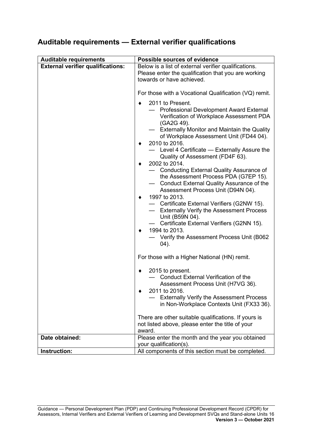## <span id="page-17-0"></span>**Auditable requirements — External verifier qualifications**

| <b>Auditable requirements</b>            | Possible sources of evidence                                                                                                                                                                                                                                                                                                                                                                                                                                                                                                                                                                                                                                                                                                                                                                         |  |
|------------------------------------------|------------------------------------------------------------------------------------------------------------------------------------------------------------------------------------------------------------------------------------------------------------------------------------------------------------------------------------------------------------------------------------------------------------------------------------------------------------------------------------------------------------------------------------------------------------------------------------------------------------------------------------------------------------------------------------------------------------------------------------------------------------------------------------------------------|--|
| <b>External verifier qualifications:</b> | Below is a list of external verifier qualifications.<br>Please enter the qualification that you are working<br>towards or have achieved.                                                                                                                                                                                                                                                                                                                                                                                                                                                                                                                                                                                                                                                             |  |
|                                          | For those with a Vocational Qualification (VQ) remit.                                                                                                                                                                                                                                                                                                                                                                                                                                                                                                                                                                                                                                                                                                                                                |  |
|                                          | 2011 to Present.<br>٠<br>Professional Development Award External<br>Verification of Workplace Assessment PDA<br>(GA2G 49).<br><b>Externally Monitor and Maintain the Quality</b><br>of Workplace Assessment Unit (FD44 04).<br>2010 to 2016.<br>- Level 4 Certificate - Externally Assure the<br>Quality of Assessment (FD4F 63).<br>2002 to 2014.<br>٠<br><b>Conducting External Quality Assurance of</b><br>the Assessment Process PDA (G7EP 15).<br>Conduct External Quality Assurance of the<br>Assessment Process Unit (D94N 04).<br>1997 to 2013.<br>٠<br>- Certificate External Verifiers (G2NW 15).<br>- Externally Verify the Assessment Process<br>Unit (B59N 04).<br>Certificate External Verifiers (G2NN 15).<br>1994 to 2013.<br>٠<br>Verify the Assessment Process Unit (B062<br>(04). |  |
|                                          | For those with a Higher National (HN) remit.                                                                                                                                                                                                                                                                                                                                                                                                                                                                                                                                                                                                                                                                                                                                                         |  |
|                                          | 2015 to present.<br>٠<br>- Conduct External Verification of the<br>Assessment Process Unit (H7VG 36).<br>2011 to 2016.<br><b>Externally Verify the Assessment Process</b><br>in Non-Workplace Contexts Unit (FX33 36).                                                                                                                                                                                                                                                                                                                                                                                                                                                                                                                                                                               |  |
|                                          | There are other suitable qualifications. If yours is<br>not listed above, please enter the title of your<br>award.                                                                                                                                                                                                                                                                                                                                                                                                                                                                                                                                                                                                                                                                                   |  |
| Date obtained:                           | Please enter the month and the year you obtained<br>your qualification(s).                                                                                                                                                                                                                                                                                                                                                                                                                                                                                                                                                                                                                                                                                                                           |  |
| Instruction:                             | All components of this section must be completed.                                                                                                                                                                                                                                                                                                                                                                                                                                                                                                                                                                                                                                                                                                                                                    |  |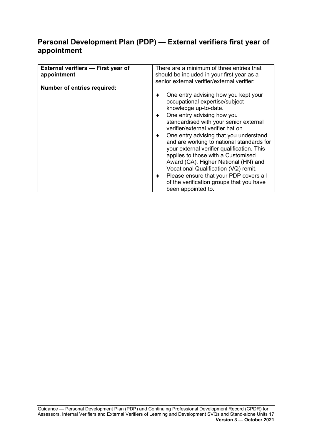### <span id="page-18-0"></span>**Personal Development Plan (PDP) — External verifiers first year of appointment**

| One entry advising how you kept your<br>standardised with your senior external<br>One entry advising that you understand<br>and are working to national standards for<br>your external verifier qualification. This<br>applies to those with a Customised<br>Award (CA), Higher National (HN) and<br>Vocational Qualification (VQ) remit.<br>Please ensure that your PDP covers all<br>of the verification groups that you have |
|---------------------------------------------------------------------------------------------------------------------------------------------------------------------------------------------------------------------------------------------------------------------------------------------------------------------------------------------------------------------------------------------------------------------------------|
|                                                                                                                                                                                                                                                                                                                                                                                                                                 |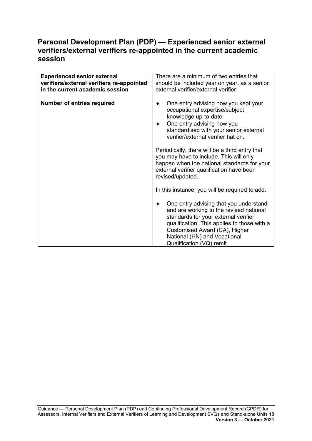### <span id="page-19-0"></span>**Personal Development Plan (PDP) — Experienced senior external verifiers/external verifiers re-appointed in the current academic session**

| <b>Experienced senior external</b><br>verifiers/external verifiers re-appointed<br>in the current academic session | There are a minimum of two entries that<br>should be included year on year, as a senior<br>external verifier/external verifier:                                                                                                                                             |
|--------------------------------------------------------------------------------------------------------------------|-----------------------------------------------------------------------------------------------------------------------------------------------------------------------------------------------------------------------------------------------------------------------------|
| <b>Number of entries required</b>                                                                                  | One entry advising how you kept your<br>٠<br>occupational expertise/subject<br>knowledge up-to-date.<br>One entry advising how you<br>٠<br>standardised with your senior external<br>verifier/external verifier hat on.                                                     |
|                                                                                                                    | Periodically, there will be a third entry that<br>you may have to include. This will only<br>happen when the national standards for your<br>external verifier qualification have been<br>revised/updated.                                                                   |
|                                                                                                                    | In this instance, you will be required to add:                                                                                                                                                                                                                              |
|                                                                                                                    | One entry advising that you understand<br>٠<br>and are working to the revised national<br>standards for your external verifier<br>qualification. This applies to those with a<br>Customised Award (CA), Higher<br>National (HN) and Vocational<br>Qualification (VQ) remit. |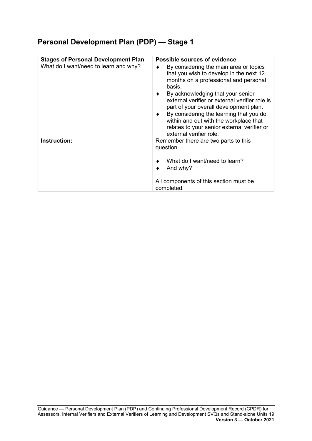<span id="page-20-0"></span>

| <b>Stages of Personal Development Plan</b> | <b>Possible sources of evidence</b>                                                                                                                                                                                                                                                                                                                                                                                                       |
|--------------------------------------------|-------------------------------------------------------------------------------------------------------------------------------------------------------------------------------------------------------------------------------------------------------------------------------------------------------------------------------------------------------------------------------------------------------------------------------------------|
| What do I want/need to learn and why?      | By considering the main area or topics<br>that you wish to develop in the next 12<br>months on a professional and personal<br>basis.<br>By acknowledging that your senior<br>external verifier or external verifier role is<br>part of your overall development plan.<br>By considering the learning that you do<br>٠<br>within and out with the workplace that<br>relates to your senior external verifier or<br>external verifier role. |
| Instruction:                               | Remember there are two parts to this<br>question.<br>What do I want/need to learn?<br>And why?<br>All components of this section must be<br>completed.                                                                                                                                                                                                                                                                                    |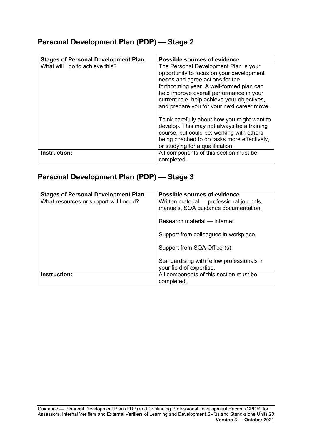<span id="page-21-0"></span>

| <b>Stages of Personal Development Plan</b> | Possible sources of evidence                                                                                                                                                                                                                                                                              |
|--------------------------------------------|-----------------------------------------------------------------------------------------------------------------------------------------------------------------------------------------------------------------------------------------------------------------------------------------------------------|
| What will I do to achieve this?            | The Personal Development Plan is your<br>opportunity to focus on your development<br>needs and agree actions for the<br>forthcoming year. A well-formed plan can<br>help improve overall performance in your<br>current role, help achieve your objectives,<br>and prepare you for your next career move. |
|                                            | Think carefully about how you might want to<br>develop. This may not always be a training<br>course, but could be: working with others,<br>being coached to do tasks more effectively,<br>or studying for a qualification.                                                                                |
| Instruction:                               | All components of this section must be<br>completed.                                                                                                                                                                                                                                                      |

<span id="page-21-1"></span>

| <b>Stages of Personal Development Plan</b> | <b>Possible sources of evidence</b>                                               |
|--------------------------------------------|-----------------------------------------------------------------------------------|
| What resources or support will I need?     | Written material — professional journals,<br>manuals, SQA guidance documentation. |
|                                            | Research material — internet.                                                     |
|                                            | Support from colleagues in workplace.                                             |
|                                            | Support from SQA Officer(s)                                                       |
|                                            | Standardising with fellow professionals in<br>your field of expertise.            |
| Instruction:                               | All components of this section must be<br>completed.                              |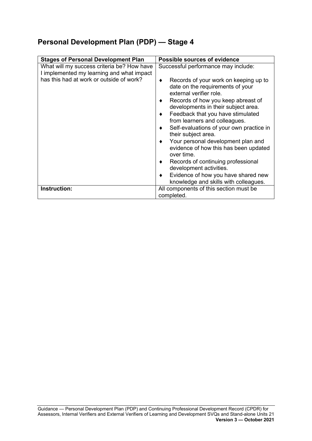<span id="page-22-0"></span>

| <b>Stages of Personal Development Plan</b>                                                                                          | Possible sources of evidence                                                                                                                                                                                                                                                                                                                                                                                                                                                                                                                                           |
|-------------------------------------------------------------------------------------------------------------------------------------|------------------------------------------------------------------------------------------------------------------------------------------------------------------------------------------------------------------------------------------------------------------------------------------------------------------------------------------------------------------------------------------------------------------------------------------------------------------------------------------------------------------------------------------------------------------------|
| What will my success criteria be? How have<br>I implemented my learning and what impact<br>has this had at work or outside of work? | Successful performance may include:<br>Records of your work on keeping up to<br>date on the requirements of your<br>external verifier role.<br>Records of how you keep abreast of<br>developments in their subject area.<br>Feedback that you have stimulated<br>from learners and colleagues.<br>Self-evaluations of your own practice in<br>their subject area.<br>Your personal development plan and<br>evidence of how this has been updated<br>over time.<br>Records of continuing professional<br>development activities.<br>Evidence of how you have shared new |
|                                                                                                                                     | knowledge and skills with colleagues.                                                                                                                                                                                                                                                                                                                                                                                                                                                                                                                                  |
| Instruction:                                                                                                                        | All components of this section must be<br>completed.                                                                                                                                                                                                                                                                                                                                                                                                                                                                                                                   |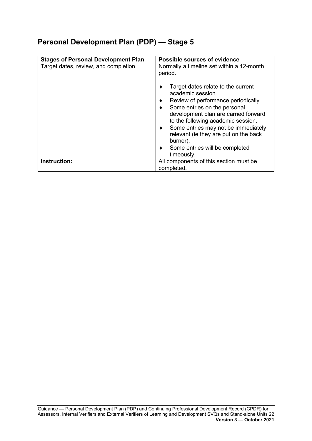<span id="page-23-0"></span>

| <b>Stages of Personal Development Plan</b> | <b>Possible sources of evidence</b>                                                                                                                                                                                                 |
|--------------------------------------------|-------------------------------------------------------------------------------------------------------------------------------------------------------------------------------------------------------------------------------------|
| Target dates, review, and completion.      | Normally a timeline set within a 12-month<br>period.<br>Target dates relate to the current<br>academic session.<br>Review of performance periodically.<br>٠<br>Some entries on the personal<br>development plan are carried forward |
|                                            | to the following academic session.<br>Some entries may not be immediately<br>٠<br>relevant (ie they are put on the back<br>burner).<br>Some entries will be completed<br>timeously.                                                 |
| Instruction:                               | All components of this section must be<br>completed.                                                                                                                                                                                |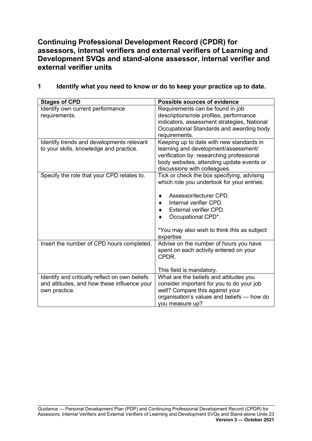<span id="page-24-0"></span>**Continuing Professional Development Record (CPDR) for assessors, internal verifiers and external verifiers of Learning and Development SVQs and stand-alone assessor, internal verifier and external verifier units**

**1 Identify what you need to know or do to keep your practice up to date.**

| <b>Stages of CPD</b>                           | <b>Possible sources of evidence</b>         |
|------------------------------------------------|---------------------------------------------|
| Identify own current performance               | Requirements can be found in job            |
| requirements.                                  | descriptions/role profiles, performance     |
|                                                | indicators, assessment strategies, National |
|                                                | Occupational Standards and awarding body    |
|                                                | requirements.                               |
| Identify trends and developments relevant      | Keeping up to date with new standards in    |
| to your skills, knowledge and practice.        | learning and development/assessment/        |
|                                                | verification by: researching professional   |
|                                                | body websites, attending update events or   |
|                                                | discussions with colleagues.                |
| Specify the role that your CPD relates to.     | Tick or check the box specifying, advising  |
|                                                | which role you undertook for your entries:  |
|                                                | Assessor/lecturer CPD.                      |
|                                                | Internal verifier CPD.                      |
|                                                | External verifier CPD.                      |
|                                                | Occupational CPD*.                          |
|                                                |                                             |
|                                                | *You may also wish to think this as subject |
|                                                | expertise                                   |
| Insert the number of CPD hours completed.      | Advise on the number of hours you have      |
|                                                | spent on each activity entered on your      |
|                                                | CPDR.                                       |
|                                                |                                             |
|                                                | This field is mandatory.                    |
| Identify and critically reflect on own beliefs | What are the beliefs and attitudes you      |
| and attitudes, and how these influence your    | consider important for you to do your job   |
| own practice.                                  | well? Compare this against your             |
|                                                | organisation's values and beliefs - how do  |
|                                                | you measure up?                             |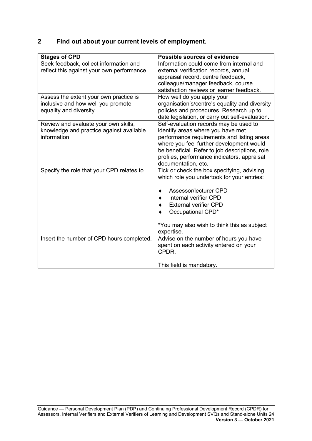### **2 Find out about your current levels of employment.**

| <b>Stages of CPD</b>                       | <b>Possible sources of evidence</b>             |
|--------------------------------------------|-------------------------------------------------|
| Seek feedback, collect information and     | Information could come from internal and        |
| reflect this against your own performance. | external verification records, annual           |
|                                            | appraisal record, centre feedback,              |
|                                            | colleague/manager feedback, course              |
|                                            | satisfaction reviews or learner feedback.       |
| Assess the extent your own practice is     | How well do you apply your                      |
| inclusive and how well you promote         | organisation's/centre's equality and diversity  |
| equality and diversity.                    | policies and procedures. Research up to         |
|                                            | date legislation, or carry out self-evaluation. |
| Review and evaluate your own skills,       | Self-evaluation records may be used to          |
| knowledge and practice against available   | identify areas where you have met               |
| information.                               | performance requirements and listing areas      |
|                                            | where you feel further development would        |
|                                            | be beneficial. Refer to job descriptions, role  |
|                                            | profiles, performance indicators, appraisal     |
|                                            | documentation, etc.                             |
| Specify the role that your CPD relates to. | Tick or check the box specifying, advising      |
|                                            | which role you undertook for your entries:      |
|                                            |                                                 |
|                                            | Assessor/lecturer CPD                           |
|                                            | Internal verifier CPD                           |
|                                            | <b>External verifier CPD</b>                    |
|                                            | Occupational CPD*                               |
|                                            | *You may also wish to think this as subject     |
|                                            | expertise.                                      |
| Insert the number of CPD hours completed.  | Advise on the number of hours you have          |
|                                            | spent on each activity entered on your          |
|                                            | CPDR.                                           |
|                                            |                                                 |
|                                            | This field is mandatory.                        |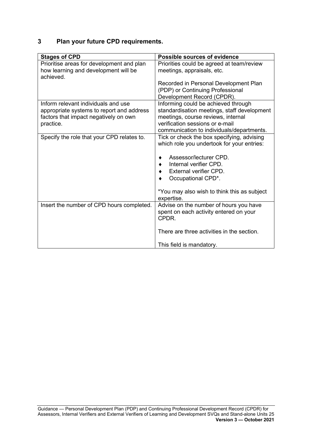### **3 Plan your future CPD requirements.**

| <b>Stages of CPD</b>                              | <b>Possible sources of evidence</b>         |
|---------------------------------------------------|---------------------------------------------|
| Prioritise areas for development and plan         | Priorities could be agreed at team/review   |
| how learning and development will be<br>achieved. | meetings, appraisals, etc.                  |
|                                                   | Recorded in Personal Development Plan       |
|                                                   | (PDP) or Continuing Professional            |
|                                                   | Development Record (CPDR).                  |
| Inform relevant individuals and use               | Informing could be achieved through         |
| appropriate systems to report and address         | standardisation meetings, staff development |
| factors that impact negatively on own             | meetings, course reviews, internal          |
| practice.                                         | verification sessions or e-mail             |
|                                                   | communication to individuals/departments.   |
| Specify the role that your CPD relates to.        | Tick or check the box specifying, advising  |
|                                                   | which role you undertook for your entries:  |
|                                                   | Assessor/lecturer CPD.                      |
|                                                   | Internal verifier CPD.                      |
|                                                   | External verifier CPD.                      |
|                                                   | Occupational CPD*.                          |
|                                                   |                                             |
|                                                   | *You may also wish to think this as subject |
|                                                   | expertise.                                  |
| Insert the number of CPD hours completed.         | Advise on the number of hours you have      |
|                                                   | spent on each activity entered on your      |
|                                                   | CPDR.                                       |
|                                                   | There are three activities in the section.  |
|                                                   |                                             |
|                                                   | This field is mandatory.                    |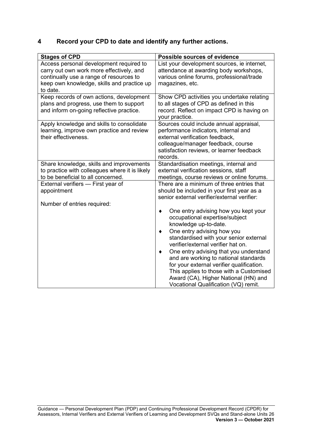### **4 Record your CPD to date and identify any further actions.**

| <b>Stages of CPD</b>                                                                                                                                                                     | <b>Possible sources of evidence</b>                                                                                                                                                                                                                                                                                                                                                                                                                                      |
|------------------------------------------------------------------------------------------------------------------------------------------------------------------------------------------|--------------------------------------------------------------------------------------------------------------------------------------------------------------------------------------------------------------------------------------------------------------------------------------------------------------------------------------------------------------------------------------------------------------------------------------------------------------------------|
| Access personal development required to<br>carry out own work more effectively, and<br>continually use a range of resources to<br>keep own knowledge, skills and practice up<br>to date. | List your development sources, ie internet,<br>attendance at awarding body workshops,<br>various online forums, professional/trade<br>magazines, etc.                                                                                                                                                                                                                                                                                                                    |
| Keep records of own actions, development<br>plans and progress, use them to support<br>and inform on-going reflective practice.                                                          | Show CPD activities you undertake relating<br>to all stages of CPD as defined in this<br>record. Reflect on impact CPD is having on<br>your practice.                                                                                                                                                                                                                                                                                                                    |
| Apply knowledge and skills to consolidate<br>learning, improve own practice and review<br>their effectiveness.                                                                           | Sources could include annual appraisal,<br>performance indicators, internal and<br>external verification feedback,<br>colleague/manager feedback, course<br>satisfaction reviews, or learner feedback<br>records.                                                                                                                                                                                                                                                        |
| Share knowledge, skills and improvements<br>to practice with colleagues where it is likely<br>to be beneficial to all concerned.                                                         | Standardisation meetings, internal and<br>external verification sessions, staff<br>meetings, course reviews or online forums.                                                                                                                                                                                                                                                                                                                                            |
| External verifiers - First year of<br>appointment                                                                                                                                        | There are a minimum of three entries that<br>should be included in your first year as a<br>senior external verifier/external verifier:                                                                                                                                                                                                                                                                                                                                   |
| Number of entries required:                                                                                                                                                              | One entry advising how you kept your<br>occupational expertise/subject<br>knowledge up-to-date.<br>One entry advising how you<br>standardised with your senior external<br>verifier/external verifier hat on.<br>One entry advising that you understand<br>and are working to national standards<br>for your external verifier qualification.<br>This applies to those with a Customised<br>Award (CA), Higher National (HN) and<br>Vocational Qualification (VQ) remit. |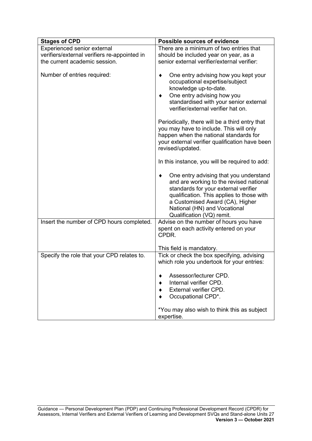| <b>Stages of CPD</b>                         | <b>Possible sources of evidence</b>                                                                                                                                                                                                                                    |
|----------------------------------------------|------------------------------------------------------------------------------------------------------------------------------------------------------------------------------------------------------------------------------------------------------------------------|
| Experienced senior external                  | There are a minimum of two entries that                                                                                                                                                                                                                                |
| verifiers/external verifiers re-appointed in | should be included year on year, as a                                                                                                                                                                                                                                  |
| the current academic session.                | senior external verifier/external verifier:                                                                                                                                                                                                                            |
| Number of entries required:                  | One entry advising how you kept your<br>occupational expertise/subject<br>knowledge up-to-date.<br>One entry advising how you<br>standardised with your senior external<br>verifier/external verifier hat on.                                                          |
|                                              | Periodically, there will be a third entry that<br>you may have to include. This will only<br>happen when the national standards for<br>your external verifier qualification have been<br>revised/updated.                                                              |
|                                              | In this instance, you will be required to add:                                                                                                                                                                                                                         |
|                                              | One entry advising that you understand<br>and are working to the revised national<br>standards for your external verifier<br>qualification. This applies to those with<br>a Customised Award (CA), Higher<br>National (HN) and Vocational<br>Qualification (VQ) remit. |
| Insert the number of CPD hours completed.    | Advise on the number of hours you have<br>spent on each activity entered on your<br>CPDR.                                                                                                                                                                              |
|                                              | This field is mandatory.                                                                                                                                                                                                                                               |
| Specify the role that your CPD relates to.   | Tick or check the box specifying, advising<br>which role you undertook for your entries:                                                                                                                                                                               |
|                                              | Assessor/lecturer CPD.                                                                                                                                                                                                                                                 |
|                                              | Internal verifier CPD.<br>External verifier CPD.                                                                                                                                                                                                                       |
|                                              | Occupational CPD*.                                                                                                                                                                                                                                                     |
|                                              |                                                                                                                                                                                                                                                                        |
|                                              | *You may also wish to think this as subject<br>expertise.                                                                                                                                                                                                              |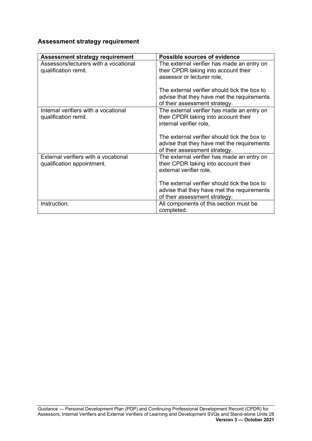### **Assessment strategy requirement**

| <b>Assessment strategy requirement</b>                             | Possible sources of evidence                                                                                                |
|--------------------------------------------------------------------|-----------------------------------------------------------------------------------------------------------------------------|
| Assessors/lecturers with a vocational<br>qualification remit.      | The external verifier has made an entry on<br>their CPDR taking into account their<br>assessor or lecturer role,            |
|                                                                    | The external verifier should tick the box to<br>advise that they have met the requirements<br>of their assessment strategy. |
| Internal verifiers with a vocational<br>qualification remit.       | The external verifier has made an entry on<br>their CPDR taking into account their<br>internal verifier role,               |
|                                                                    | The external verifier should tick the box to<br>advise that they have met the requirements<br>of their assessment strategy. |
| External verifiers with a vocational<br>qualification appointment. | The external verifier has made an entry on<br>their CPDR taking into account their<br>external verifier role,               |
|                                                                    | The external verifier should tick the box to<br>advise that they have met the requirements<br>of their assessment strategy. |
| Instruction:                                                       | All components of this section must be<br>completed.                                                                        |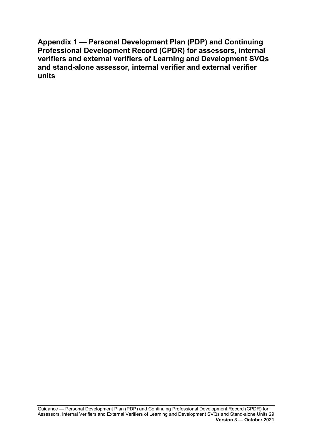<span id="page-30-0"></span>**Appendix 1 — Personal Development Plan (PDP) and Continuing Professional Development Record (CPDR) for assessors, internal verifiers and external verifiers of Learning and Development SVQs and stand-alone assessor, internal verifier and external verifier units**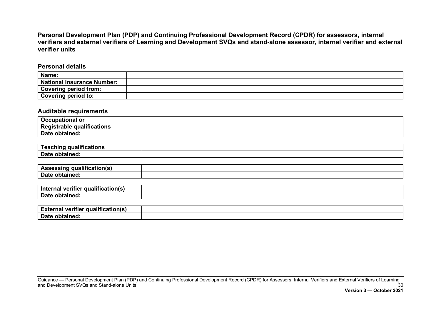**Personal Development Plan (PDP) and Continuing Professional Development Record (CPDR) for assessors, internal** verifiers and external verifiers of Learning and Development SVQs and stand-alone assessor, internal verifier and external **verifier units**

**Personal details**

| Name:                             |  |
|-----------------------------------|--|
| <b>National Insurance Number:</b> |  |
| <b>Covering period from:</b>      |  |
| <b>Covering period to:</b>        |  |

#### **Auditable requirements**

| <b>Occupational or</b>     |  |
|----------------------------|--|
| Registrable qualifications |  |
| Date obtained:             |  |

| <br>⊺eachinɑ<br>auslitications<br><b>QUAIN</b><br>cauons<br>$\sim$ uullilu $\sim$ |  |
|-----------------------------------------------------------------------------------|--|
| Date<br>.<br><b>optained</b>                                                      |  |

| <br>aliticationl<br>Λc<br>$-$<br>55111 |  |
|----------------------------------------|--|
| <b>Date</b><br>.<br>- ODIA             |  |

| $\sim$<br><br>--------<br>ln‡o<br>veritier<br><b>qualitiv</b><br>ча |  |
|---------------------------------------------------------------------|--|
| Date<br>------<br>`optaineg.                                        |  |

| ---<br><b>External</b><br>' qualification(s)<br>. veritier |  |
|------------------------------------------------------------|--|
| Date<br>obtained:                                          |  |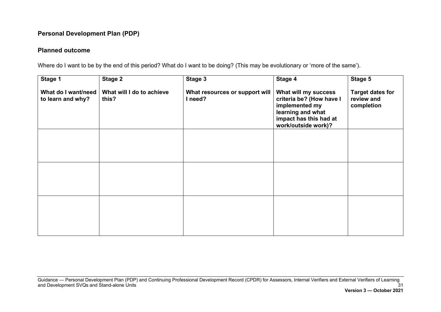### **Personal Development Plan (PDP)**

### **Planned outcome**

Where do I want to be by the end of this period? What do I want to be doing? (This may be evolutionary or 'more of the same').

| Stage 1                                  | <b>Stage 2</b>                     | Stage 3                                   | Stage 4                                                                                                                                  | Stage 5                                             |
|------------------------------------------|------------------------------------|-------------------------------------------|------------------------------------------------------------------------------------------------------------------------------------------|-----------------------------------------------------|
| What do I want/need<br>to learn and why? | What will I do to achieve<br>this? | What resources or support will<br>I need? | What will my success<br>criteria be? (How have I<br>implemented my<br>learning and what<br>impact has this had at<br>work/outside work)? | <b>Target dates for</b><br>review and<br>completion |
|                                          |                                    |                                           |                                                                                                                                          |                                                     |
|                                          |                                    |                                           |                                                                                                                                          |                                                     |
|                                          |                                    |                                           |                                                                                                                                          |                                                     |
|                                          |                                    |                                           |                                                                                                                                          |                                                     |
|                                          |                                    |                                           |                                                                                                                                          |                                                     |
|                                          |                                    |                                           |                                                                                                                                          |                                                     |

Guidance — Personal Development Plan (PDP) and Continuing Professional Development Record (CPDR) for Assessors, Internal Verifiers and External Verifiers of Learning and Development SVQs and Stand-alone Units 31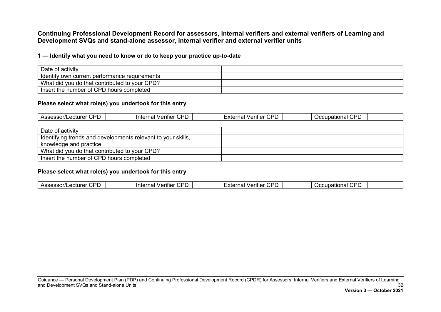**Continuing Professional Development Record for assessors, internal verifiers and external verifiers of Learning and Development SVQs and stand-alone assessor, internal verifier and external verifier units**

#### **1 — Identify what you need to know or do to keep your practice up-to-date**

| Date of activity                              |  |
|-----------------------------------------------|--|
| Identify own current performance requirements |  |
| What did you do that contributed to your CPD? |  |
| Insert the number of CPD hours completed      |  |

#### **Please select what role(s) you undertook for this entry**

| חחי<br><b>CDF</b><br>חמי<br>$\cap$ DF<br>. .<br>$rr\alpha r$<br>:xte<br>_____<br>erifier 1<br>rifier<br>nationa<br>.)CCI<br>Accaccori<br>ınternal<br>'U<br>на<br>auuduu .<br>ושפכ<br>$\cdot$ $\cdot$ $\cdot$<br>$\sim$ $\sim$ $\sim$<br>.uu u<br>זנ<br>$\cdot$<br>$\cdot$<br>- |
|--------------------------------------------------------------------------------------------------------------------------------------------------------------------------------------------------------------------------------------------------------------------------------|
|--------------------------------------------------------------------------------------------------------------------------------------------------------------------------------------------------------------------------------------------------------------------------------|

| Date of activity                                             |  |
|--------------------------------------------------------------|--|
| Identifying trends and developments relevant to your skills, |  |
| knowledge and practice                                       |  |
| What did you do that contributed to your CPD?                |  |
| Insert the number of CPD hours completed                     |  |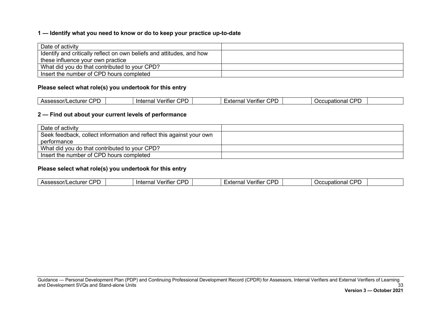#### **1 — Identify what you need to know or do to keep your practice up-to-date**

| Date of activity                                                      |  |
|-----------------------------------------------------------------------|--|
| Identify and critically reflect on own beliefs and attitudes, and how |  |
| these influence your own practice                                     |  |
| What did you do that contributed to your CPD?                         |  |
| Insert the number of CPD hours completed                              |  |

#### **Please select what role(s) you undertook for this entry**

| חמי<br>$\cap$<br>∩nr<br>וםר<br>'nt∈.<br>' ⊔ro<br>$\sim$<br><br>erifie<br>batlonal<br>∵ urler ات<br>. idi<br>на<br><br>⊷ • ⊏<br>.<br>Guuci<br>31 J I I<br>$\sim$<br>- |
|----------------------------------------------------------------------------------------------------------------------------------------------------------------------|
|----------------------------------------------------------------------------------------------------------------------------------------------------------------------|

### **2 — Find out about your current levels of performance**

| Date of activity                                                     |  |
|----------------------------------------------------------------------|--|
| Seek feedback, collect information and reflect this against your own |  |
| performance                                                          |  |
| What did you do that contributed to your CPD?                        |  |
| Insert the number of CPD hours completed                             |  |

| ndocdou.<br><u>. лет</u><br>◡┎<br>ᄉᄕ<br>المنت | חמי<br>.ecturer<br>$N$ cc<br>$\sim$ |  | חמי<br>. .<br>Verifier<br>'nte.<br>naı |  | ---<br>וכזי<br>'erifier √<br>$\mathbf{v}$<br>. |  | ാറ | $- -$<br>⊸upational ⊆ |  |
|-----------------------------------------------|-------------------------------------|--|----------------------------------------|--|------------------------------------------------|--|----|-----------------------|--|
|-----------------------------------------------|-------------------------------------|--|----------------------------------------|--|------------------------------------------------|--|----|-----------------------|--|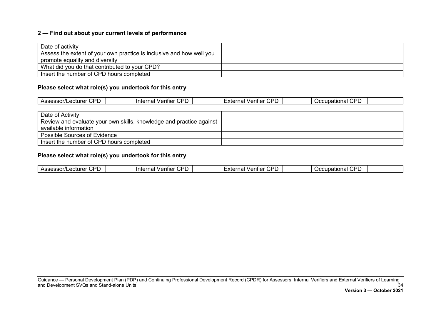### **2 — Find out about your current levels of performance**

| Date of activity                                                     |  |
|----------------------------------------------------------------------|--|
| Assess the extent of your own practice is inclusive and how well you |  |
| promote equality and diversity                                       |  |
| What did you do that contributed to your CPD?                        |  |
| Insert the number of CPD hours completed                             |  |

### **Please select what role(s) you undertook for this entry**

| חממ<br>Assessor/Lecturer<br>ັບເ<br>້ | חמי<br>. .<br>Internal<br>Verifier<br>◡┌ | <b>CDL</b><br>.<br>_∠xtern<br>Verifier<br>ı idi<br>◡ | CDD<br>Occupational<br>◡<br>- |
|--------------------------------------|------------------------------------------|------------------------------------------------------|-------------------------------|
|                                      |                                          |                                                      |                               |

| Date of Activity                                                    |  |
|---------------------------------------------------------------------|--|
| Review and evaluate your own skills, knowledge and practice against |  |
| available information                                               |  |
| Possible Sources of Evidence                                        |  |
| Insert the number of CPD hours completed                            |  |

| ror<br>חי<br>ப<br>. .<br>.<br>$\cdots$<br>Int<br>ecturer<br>יי<br>шег<br>люн<br><b>curel</b><br>.<br>.<br>$\sim$ 1 $\sim$<br>,,,,,<br>۰^۰<br>.<br>- |
|-----------------------------------------------------------------------------------------------------------------------------------------------------|
|-----------------------------------------------------------------------------------------------------------------------------------------------------|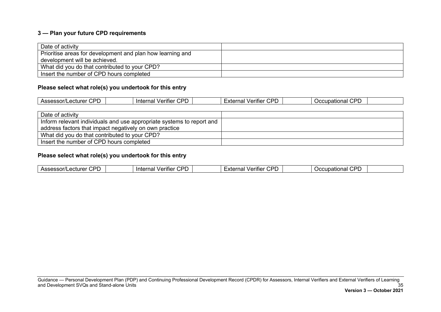### **3 — Plan your future CPD requirements**

| Date of activity                                           |  |
|------------------------------------------------------------|--|
| Prioritise areas for development and plan how learning and |  |
| development will be achieved.                              |  |
| What did you do that contributed to your CPD?              |  |
| Insert the number of CPD hours completed                   |  |

### **Please select what role(s) you undertook for this entry**

| $\cap$<br>Acc<br>50001<br>Assessor/Lecturer<br>. .<br>ັ<br>. . | חמי<br>. .<br>lnter.<br>/∆r<br>erifier/<br>$\cdot$<br>، احا<br> | <b>CDL</b><br>$-1/1$<br>Verifier<br>----<br>--<br>EXLEI<br>٦a<br>◡ ◡ | CDD<br>$$ in otion $-$<br>Occupational<br>ັບເ<br>- |  |
|----------------------------------------------------------------|-----------------------------------------------------------------|----------------------------------------------------------------------|----------------------------------------------------|--|
|                                                                |                                                                 |                                                                      |                                                    |  |

| Date of activity                                                      |  |
|-----------------------------------------------------------------------|--|
| Inform relevant individuals and use appropriate systems to report and |  |
| address factors that impact negatively on own practice                |  |
| What did you do that contributed to your CPD?                         |  |
| Insert the number of CPD hours completed                              |  |

| <b>CDF</b><br>$n$ cc<br>In<br>$\cdot$<br><b>BAT.</b><br>$\overline{\phantom{a}}$<br>∵ ⊔liler ات<br>יי<br>næ<br>ााए<br>. iai<br>. ліпант<br>. . г<br>v<br>$\ldots$<br><u>\ Ji</u><br>. A L<br>$\cdots$<br>.<br>$\overline{\phantom{a}}$<br>. .<br>. . |
|------------------------------------------------------------------------------------------------------------------------------------------------------------------------------------------------------------------------------------------------------|
|------------------------------------------------------------------------------------------------------------------------------------------------------------------------------------------------------------------------------------------------------|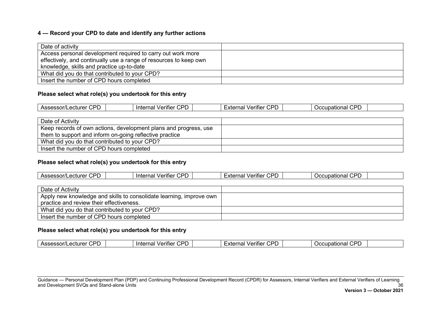### **4 — Record your CPD to date and identify any further actions**

| Date of activity                                                  |  |
|-------------------------------------------------------------------|--|
| Access personal development required to carry out work more       |  |
| effectively, and continually use a range of resources to keep own |  |
| knowledge, skills and practice up-to-date                         |  |
| What did you do that contributed to your CPD?                     |  |
| Insert the number of CPD hours completed                          |  |

### **Please select what role(s) you undertook for this entry**

| Date of Activity                                                 |  |
|------------------------------------------------------------------|--|
| Keep records of own actions, development plans and progress, use |  |
| them to support and inform on-going reflective practice          |  |
| What did you do that contributed to your CPD?                    |  |
| Insert the number of CPD hours completed                         |  |

### **Please select what role(s) you undertook for this entry**

| Date of Activity                                                    |  |
|---------------------------------------------------------------------|--|
| Apply new knowledge and skills to consolidate learning, improve own |  |
| practice and review their effectiveness.                            |  |
| What did you do that contributed to your CPD?                       |  |
| Insert the number of CPD hours completed                            |  |

### **Please select what role(s) you undertook for this entry**

| ---<br>חה<br>CDF<br>---<br>. .<br>ொ<br>Accacco<br>וני<br>erifier<br><b>Inter</b><br>$\sim$ $\sim$ $\sim$<br>$\sim$<br>$\cdot$<br>erifier i T<br>σr<br>.~10 <sub>cm</sub><br>naı<br>Jubalional<br>на<br>60.U<br>$\cdot$<br>.<br>$\overline{\phantom{a}}$<br><b>. .</b><br>.<br>.<br>.<br>. . |  |
|---------------------------------------------------------------------------------------------------------------------------------------------------------------------------------------------------------------------------------------------------------------------------------------------|--|
|---------------------------------------------------------------------------------------------------------------------------------------------------------------------------------------------------------------------------------------------------------------------------------------------|--|

Guidance — Personal Development Plan (PDP) and Continuing Professional Development Record (CPDR) for Assessors, Internal Verifiers and External Verifiers of Learning and Development SVQs and Stand-alone Units 36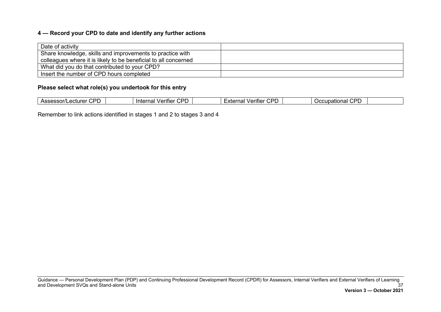### **4 — Record your CPD to date and identify any further actions**

| Date of activity                                                |  |
|-----------------------------------------------------------------|--|
| Share knowledge, skills and improvements to practice with       |  |
| colleagues where it is likely to be beneficial to all concerned |  |
| What did you do that contributed to your CPD?                   |  |
| Insert the number of CPD hours completed                        |  |

#### **Please select what role(s) you undertook for this entry**

Remember to link actions identified in stages 1 and 2 to stages 3 and 4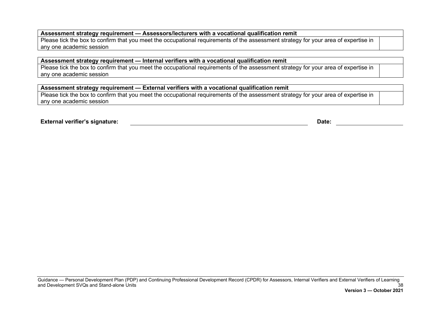#### **Assessment strategy requirement — Assessors/lecturers with a vocational qualification remit**

Please tick the box to confirm that you meet the occupational requirements of the assessment strategy for your area of expertise in any one academic session

#### **Assessment strategy requirement — Internal verifiers with a vocational qualification remit**

Please tick the box to confirm that you meet the occupational requirements of the assessment strategy for your area of expertise in any one academic session

#### **Assessment strategy requirement — External verifiers with a vocational qualification remit**

Please tick the box to confirm that you meet the occupational requirements of the assessment strategy for your area of expertise in any one academic session

**External verifier's signature: Date:**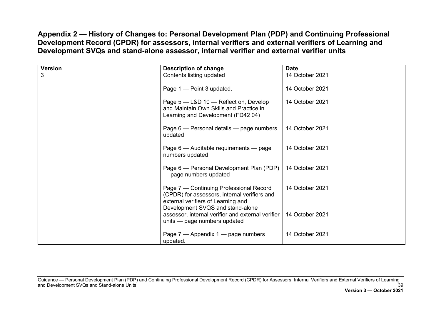**Appendix 2 — History of Changes to: Personal Development Plan (PDP) and Continuing Professional Development Record (CPDR) for assessors, internal verifiers and external verifiers of Learning and Development SVQs and stand-alone assessor, internal verifier and external verifier units**

<span id="page-40-0"></span>

| <b>Version</b> | <b>Description of change</b>                                                                                                                                      | <b>Date</b>     |
|----------------|-------------------------------------------------------------------------------------------------------------------------------------------------------------------|-----------------|
| 3              | Contents listing updated                                                                                                                                          | 14 October 2021 |
|                | Page 1 - Point 3 updated.                                                                                                                                         | 14 October 2021 |
|                | Page 5 - L&D 10 - Reflect on, Develop<br>and Maintain Own Skills and Practice in<br>Learning and Development (FD42 04)                                            | 14 October 2021 |
|                | Page 6 — Personal details — page numbers<br>updated                                                                                                               | 14 October 2021 |
|                | Page 6 - Auditable requirements - page<br>numbers updated                                                                                                         | 14 October 2021 |
|                | Page 6 - Personal Development Plan (PDP)<br>- page numbers updated                                                                                                | 14 October 2021 |
|                | Page 7 - Continuing Professional Record<br>(CPDR) for assessors, internal verifiers and<br>external verifiers of Learning and<br>Development SVQS and stand-alone | 14 October 2021 |
|                | assessor, internal verifier and external verifier<br>units - page numbers updated                                                                                 | 14 October 2021 |
|                | Page 7 — Appendix 1 — page numbers<br>updated.                                                                                                                    | 14 October 2021 |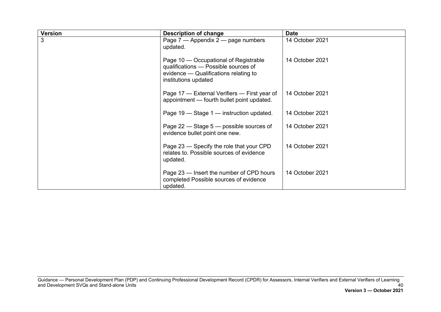| <b>Version</b> | Description of change                                                                                                                          | <b>Date</b>     |
|----------------|------------------------------------------------------------------------------------------------------------------------------------------------|-----------------|
| 3              | Page 7 — Appendix 2 — page numbers<br>updated.                                                                                                 | 14 October 2021 |
|                | Page 10 – Occupational of Registrable<br>qualifications - Possible sources of<br>evidence – Qualifications relating to<br>institutions updated | 14 October 2021 |
|                | Page 17 – External Verifiers – First year of<br>appointment - fourth bullet point updated.                                                     | 14 October 2021 |
|                | Page 19 – Stage 1 – instruction updated.                                                                                                       | 14 October 2021 |
|                | Page 22 – Stage 5 – possible sources of<br>evidence bullet point one new.                                                                      | 14 October 2021 |
|                | Page 23 – Specify the role that your CPD<br>relates to. Possible sources of evidence<br>updated.                                               | 14 October 2021 |
|                | Page 23 – Insert the number of CPD hours<br>completed Possible sources of evidence<br>updated.                                                 | 14 October 2021 |

Guidance — Personal Development Plan (PDP) and Continuing Professional Development Record (CPDR) for Assessors, Internal Verifiers and External Verifiers of Learning and Development SVQs and Stand-alone Units 40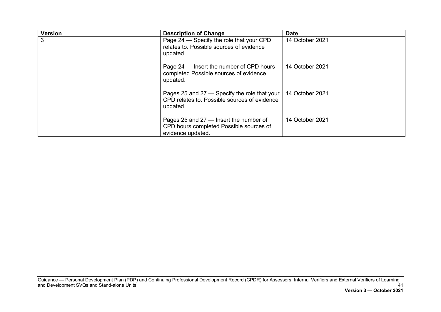| <b>Version</b> | <b>Description of Change</b>                                                                             | <b>Date</b>     |
|----------------|----------------------------------------------------------------------------------------------------------|-----------------|
| 3              | Page 24 – Specify the role that your CPD<br>relates to. Possible sources of evidence<br>updated.         | 14 October 2021 |
|                | Page 24 – Insert the number of CPD hours<br>completed Possible sources of evidence<br>updated.           | 14 October 2021 |
|                | Pages 25 and 27 – Specify the role that your<br>CPD relates to. Possible sources of evidence<br>updated. | 14 October 2021 |
|                | Pages 25 and $27$ – Insert the number of<br>CPD hours completed Possible sources of<br>evidence updated. | 14 October 2021 |